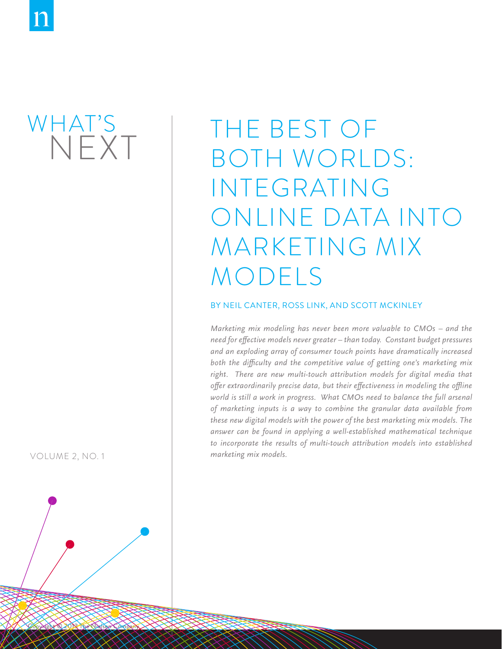## WHAT'S NEXT

VOLUME 2, NO. 1

# The best of both worlds: integrating online data into marketing mix models

#### By NEIL CANTER, ROSS LINK, AND SCOTT MCKINLEY

Copyright © 2013 The Nielsen Company Copyright © 2013 The Nielsen Company **1**

*Marketing mix modeling has never been more valuable to CMOs – and the need for effective models never greater – than today. Constant budget pressures and an exploding array of consumer touch points have dramatically increased both the difficulty and the competitive value of getting one's marketing mix*  right. There are new multi-touch attribution models for digital media that *offer extraordinarily precise data, but their effectiveness in modeling the offline*  world is still a work in progress. What CMOs need to balance the full arsenal *of marketing inputs is a way to combine the granular data available from these new digital models with the power of the best marketing mix models. The answer can be found in applying a well-established mathematical technique*  to incorporate the results of multi-touch attribution models into established *marketing mix models.*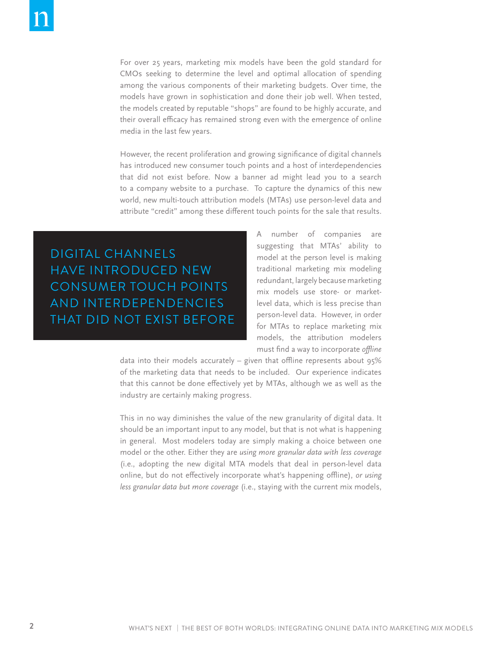For over 25 years, marketing mix models have been the gold standard for CMOs seeking to determine the level and optimal allocation of spending among the various components of their marketing budgets. Over time, the models have grown in sophistication and done their job well. When tested, the models created by reputable "shops" are found to be highly accurate, and their overall efficacy has remained strong even with the emergence of online media in the last few years.

However, the recent proliferation and growing significance of digital channels has introduced new consumer touch points and a host of interdependencies that did not exist before. Now a banner ad might lead you to a search to a company website to a purchase. To capture the dynamics of this new world, new multi-touch attribution models (MTAs) use person-level data and attribute "credit" among these different touch points for the sale that results.

digital channels have introduced NEW CONSUMER touch points and interdependencies that did not exist before A number of companies are suggesting that MTAs' ability to model at the person level is making traditional marketing mix modeling redundant, largely because marketing mix models use store- or marketlevel data, which is less precise than person-level data. However, in order for MTAs to replace marketing mix models, the attribution modelers must find a way to incorporate *offline*

data into their models accurately – given that offline represents about 95% of the marketing data that needs to be included. Our experience indicates that this cannot be done effectively yet by MTAs, although we as well as the industry are certainly making progress.

This in no way diminishes the value of the new granularity of digital data. It should be an important input to any model, but that is not what is happening in general. Most modelers today are simply making a choice between one model or the other. Either they are *using more granular data with less coverage*  (i.e., adopting the new digital MTA models that deal in person-level data online, but do not effectively incorporate what's happening offline), *or using less granular data but more coverage* (i.e., staying with the current mix models,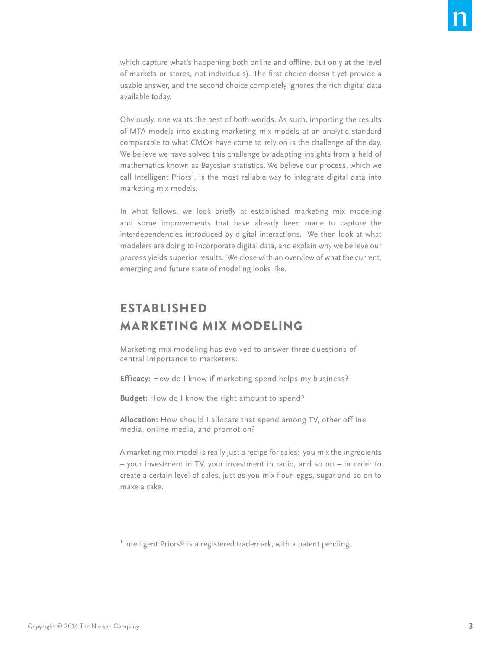which capture what's happening both online and offline, but only at the level of markets or stores, not individuals). The first choice doesn't yet provide a usable answer, and the second choice completely ignores the rich digital data available today.

Obviously, one wants the best of both worlds. As such, importing the results of MTA models into existing marketing mix models at an analytic standard comparable to what CMOs have come to rely on is the challenge of the day. We believe we have solved this challenge by adapting insights from a field of mathematics known as Bayesian statistics. We believe our process, which we call Intelligent Priors<sup>1</sup>, is the most reliable way to integrate digital data into marketing mix models.

In what follows, we look briefly at established marketing mix modeling and some improvements that have already been made to capture the interdependencies introduced by digital interactions. We then look at what modelers are doing to incorporate digital data, and explain why we believe our process yields superior results. We close with an overview of what the current, emerging and future state of modeling looks like.

### Established marketing mix modeling

Marketing mix modeling has evolved to answer three questions of central importance to marketers:

**Efficacy:** How do I know if marketing spend helps my business?

**Budget:** How do I know the right amount to spend?

**Allocation:** How should I allocate that spend among TV, other offline media, online media, and promotion?

A marketing mix model is really just a recipe for sales: you mix the ingredients – your investment in TV, your investment in radio, and so on – in order to create a certain level of sales, just as you mix flour, eggs, sugar and so on to make a cake.

 $^1$ Intelligent Priors® is a registered trademark, with a patent pending.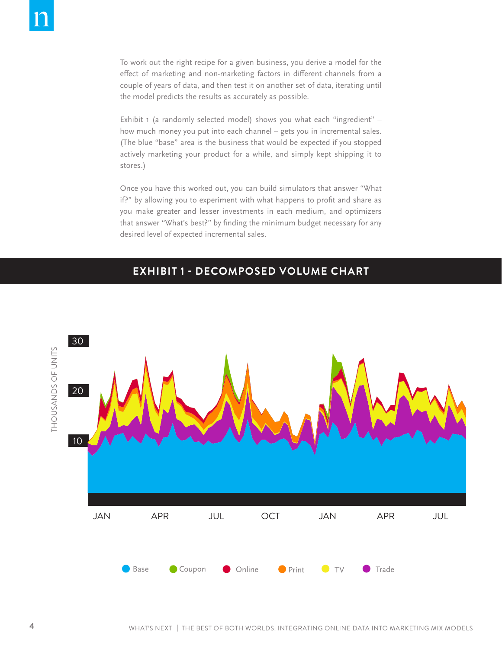To work out the right recipe for a given business, you derive a model for the effect of marketing and non-marketing factors in different channels from a couple of years of data, and then test it on another set of data, iterating until the model predicts the results as accurately as possible.

Exhibit 1 (a randomly selected model) shows you what each "ingredient" how much money you put into each channel – gets you in incremental sales. (The blue "base" area is the business that would be expected if you stopped actively marketing your product for a while, and simply kept shipping it to stores.)

Once you have this worked out, you can build simulators that answer "What if?" by allowing you to experiment with what happens to profit and share as you make greater and lesser investments in each medium, and optimizers that answer "What's best?" by finding the minimum budget necessary for any desired level of expected incremental sales.

## **EXHIBIT 1 - DECOMPOSED VOLUME CHART**

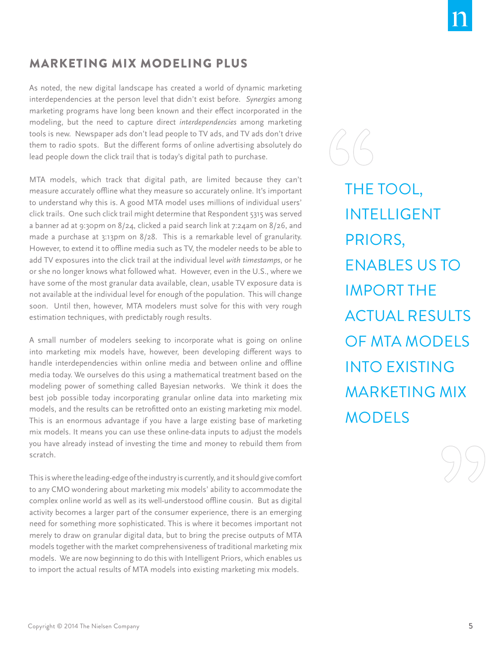#### Marketing mix modeling plus

As noted, the new digital landscape has created a world of dynamic marketing interdependencies at the person level that didn't exist before. *Synergies* among marketing programs have long been known and their effect incorporated in the modeling, but the need to capture direct *interdependencies* among marketing tools is new. Newspaper ads don't lead people to TV ads, and TV ads don't drive them to radio spots. But the different forms of online advertising absolutely do lead people down the click trail that is today's digital path to purchase.

MTA models, which track that digital path, are limited because they can't measure accurately offline what they measure so accurately online. It's important to understand why this is. A good MTA model uses millions of individual users' click trails. One such click trail might determine that Respondent 5315 was served a banner ad at 9:30pm on 8/24, clicked a paid search link at 7:24am on 8/26, and made a purchase at 3:13pm on 8/28. This is a remarkable level of granularity. However, to extend it to offline media such as TV, the modeler needs to be able to add TV exposures into the click trail at the individual level *with timestamps*, or he or she no longer knows what followed what. However, even in the U.S., where we have some of the most granular data available, clean, usable TV exposure data is not available at the individual level for enough of the population. This will change soon. Until then, however, MTA modelers must solve for this with very rough estimation techniques, with predictably rough results.

A small number of modelers seeking to incorporate what is going on online into marketing mix models have, however, been developing different ways to handle interdependencies within online media and between online and offline media today. We ourselves do this using a mathematical treatment based on the modeling power of something called Bayesian networks. We think it does the best job possible today incorporating granular online data into marketing mix models, and the results can be retrofitted onto an existing marketing mix model. This is an enormous advantage if you have a large existing base of marketing mix models. It means you can use these online-data inputs to adjust the models you have already instead of investing the time and money to rebuild them from scratch.

This is where the leading-edge of the industry is currently, and it should give comfort to any CMO wondering about marketing mix models' ability to accommodate the complex online world as well as its well-understood offline cousin. But as digital activity becomes a larger part of the consumer experience, there is an emerging need for something more sophisticated. This is where it becomes important not merely to draw on granular digital data, but to bring the precise outputs of MTA models together with the market comprehensiveness of traditional marketing mix models. We are now beginning to do this with Intelligent Priors, which enables us to import the actual results of MTA models into existing marketing mix models.

THE TOOL, **INTELLIGENT** Priors, enables us to import the actual results of MTA models into existing marketing mix **MODELS**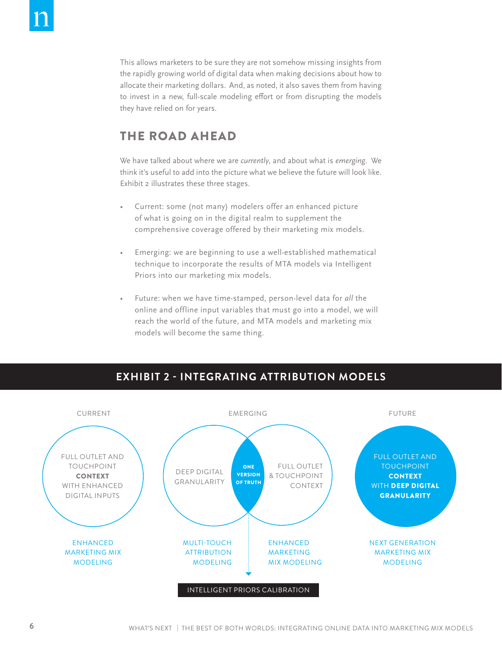This allows marketers to be sure they are not somehow missing insights from the rapidly growing world of digital data when making decisions about how to allocate their marketing dollars. And, as noted, it also saves them from having to invest in a new, full-scale modeling effort or from disrupting the models they have relied on for years.

#### The road ahead

We have talked about where we are *currently*, and about what is *emerging*. We think it's useful to add into the picture what we believe the future will look like. Exhibit 2 illustrates these three stages.

- Current: some (not many) modelers offer an enhanced picture of what is going on in the digital realm to supplement the comprehensive coverage offered by their marketing mix models.
- Emerging: we are beginning to use a well-established mathematical technique to incorporate the results of MTA models via Intelligent Priors into our marketing mix models.
- Future: when we have time-stamped, person-level data for all the online and offline input variables that must go into a model, we will reach the world of the future, and MTA models and marketing mix models will become the same thing.



#### **EXHIBIT 2 - INTEGRATING ATTRIBUTION MODELS**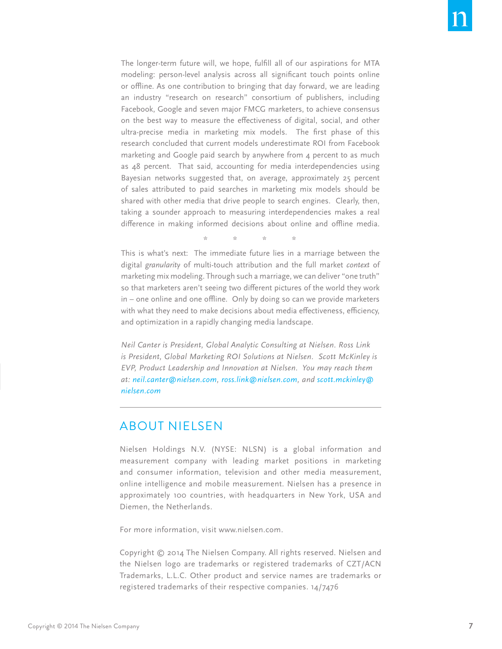The longer-term future will, we hope, fulfill all of our aspirations for MTA modeling: person-level analysis across all significant touch points online or offline. As one contribution to bringing that day forward, we are leading an industry "research on research" consortium of publishers, including Facebook, Google and seven major FMCG marketers, to achieve consensus on the best way to measure the effectiveness of digital, social, and other ultra-precise media in marketing mix models. The first phase of this research concluded that current models underestimate ROI from Facebook marketing and Google paid search by anywhere from 4 percent to as much as 48 percent. That said, accounting for media interdependencies using Bayesian networks suggested that, on average, approximately 25 percent of sales attributed to paid searches in marketing mix models should be shared with other media that drive people to search engines. Clearly, then, taking a sounder approach to measuring interdependencies makes a real difference in making informed decisions about online and offline media.

\* \* \* \*

This is what's next: The immediate future lies in a marriage between the digital *granularity* of multi-touch attribution and the full market *context* of marketing mix modeling. Through such a marriage, we can deliver "one truth" so that marketers aren't seeing two different pictures of the world they work in – one online and one offline. Only by doing so can we provide marketers with what they need to make decisions about media effectiveness, efficiency, and optimization in a rapidly changing media landscape.

*Neil Canter is President, Global Analytic Consulting at Nielsen. Ross Link is President, Global Marketing ROI Solutions at Nielsen. Scott McKinley is EVP, Product Leadership and Innovation at Nielsen. You may reach them at: neil.canter@nielsen.com, ross.link@nielsen.com, and scott.mckinley@ nielsen.com*

#### About Nielsen

Nielsen Holdings N.V. (NYSE: NLSN) is a global information and measurement company with leading market positions in marketing and consumer information, television and other media measurement, online intelligence and mobile measurement. Nielsen has a presence in approximately 100 countries, with headquarters in New York, USA and Diemen, the Netherlands.

For more information, visit www.nielsen.com.

Copyright © 2014 The Nielsen Company. All rights reserved. Nielsen and the Nielsen logo are trademarks or registered trademarks of CZT/ACN Trademarks, L.L.C. Other product and service names are trademarks or registered trademarks of their respective companies. 14/7476